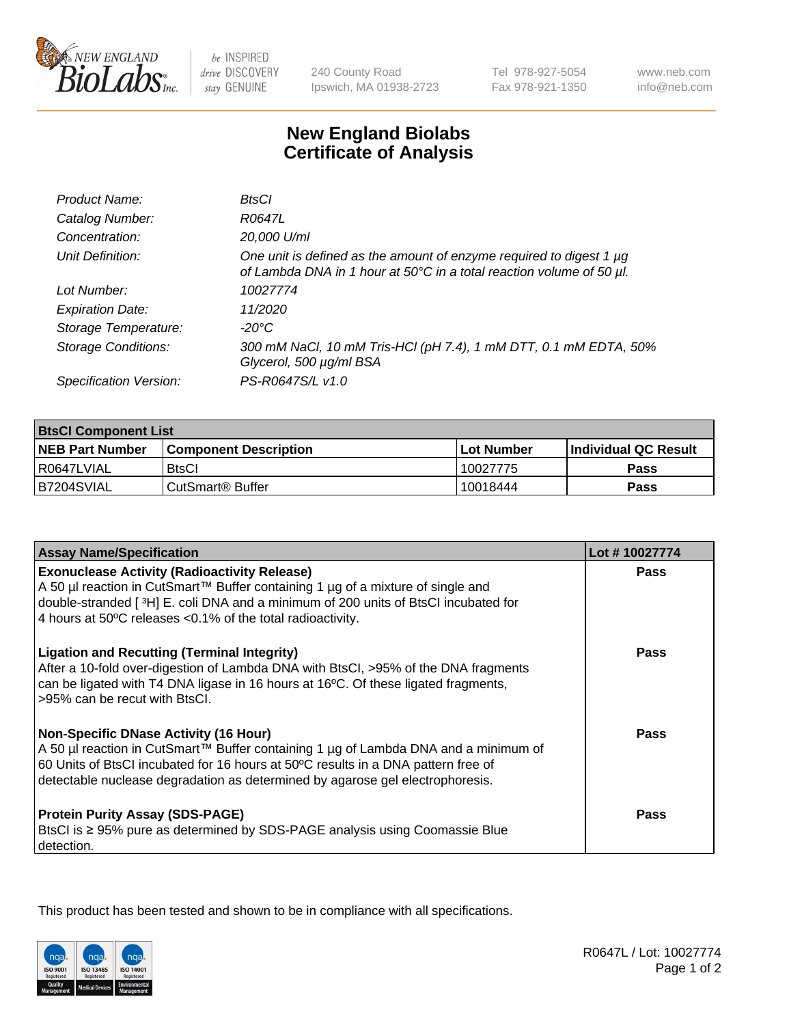

 $be$  INSPIRED drive DISCOVERY stay GENUINE

240 County Road Ipswich, MA 01938-2723 Tel 978-927-5054 Fax 978-921-1350

www.neb.com info@neb.com

## **New England Biolabs Certificate of Analysis**

| Product Name:              | BtsCl                                                                                                                                            |
|----------------------------|--------------------------------------------------------------------------------------------------------------------------------------------------|
| Catalog Number:            | R0647L                                                                                                                                           |
| Concentration:             | 20,000 U/ml                                                                                                                                      |
| Unit Definition:           | One unit is defined as the amount of enzyme required to digest 1 $\mu$ g<br>of Lambda DNA in 1 hour at 50°C in a total reaction volume of 50 µl. |
| Lot Number:                | 10027774                                                                                                                                         |
| <b>Expiration Date:</b>    | 11/2020                                                                                                                                          |
| Storage Temperature:       | -20°C                                                                                                                                            |
| <b>Storage Conditions:</b> | 300 mM NaCl, 10 mM Tris-HCl (pH 7.4), 1 mM DTT, 0.1 mM EDTA, 50%<br>Glycerol, 500 µg/ml BSA                                                      |
| Specification Version:     | PS-R0647S/L v1.0                                                                                                                                 |

| <b>BisCI Component List</b> |                              |                   |                      |  |
|-----------------------------|------------------------------|-------------------|----------------------|--|
| <b>NEB Part Number</b>      | <b>Component Description</b> | <b>Lot Number</b> | Individual QC Result |  |
| R0647LVIAL                  | <b>BtsCl</b>                 | 10027775          | <b>Pass</b>          |  |
| B7204SVIAL                  | ' CutSmart® Buffer_          | 10018444          | Pass                 |  |

| <b>Assay Name/Specification</b>                                                                                                                                                                                                                                                                           | Lot #10027774 |
|-----------------------------------------------------------------------------------------------------------------------------------------------------------------------------------------------------------------------------------------------------------------------------------------------------------|---------------|
| <b>Exonuclease Activity (Radioactivity Release)</b><br>A 50 µl reaction in CutSmart™ Buffer containing 1 µg of a mixture of single and                                                                                                                                                                    | Pass          |
| double-stranded [3H] E. coli DNA and a minimum of 200 units of BtsCl incubated for<br>4 hours at 50°C releases <0.1% of the total radioactivity.                                                                                                                                                          |               |
| <b>Ligation and Recutting (Terminal Integrity)</b><br>After a 10-fold over-digestion of Lambda DNA with BtsCl, >95% of the DNA fragments<br>can be ligated with T4 DNA ligase in 16 hours at 16°C. Of these ligated fragments,<br>>95% can be recut with BtsCl.                                           | Pass          |
| <b>Non-Specific DNase Activity (16 Hour)</b><br>A 50 µl reaction in CutSmart™ Buffer containing 1 µg of Lambda DNA and a minimum of<br>60 Units of BtsCl incubated for 16 hours at 50°C results in a DNA pattern free of<br>detectable nuclease degradation as determined by agarose gel electrophoresis. | Pass          |
| <b>Protein Purity Assay (SDS-PAGE)</b><br>BtsCl is ≥ 95% pure as determined by SDS-PAGE analysis using Coomassie Blue<br>detection.                                                                                                                                                                       | <b>Pass</b>   |

This product has been tested and shown to be in compliance with all specifications.